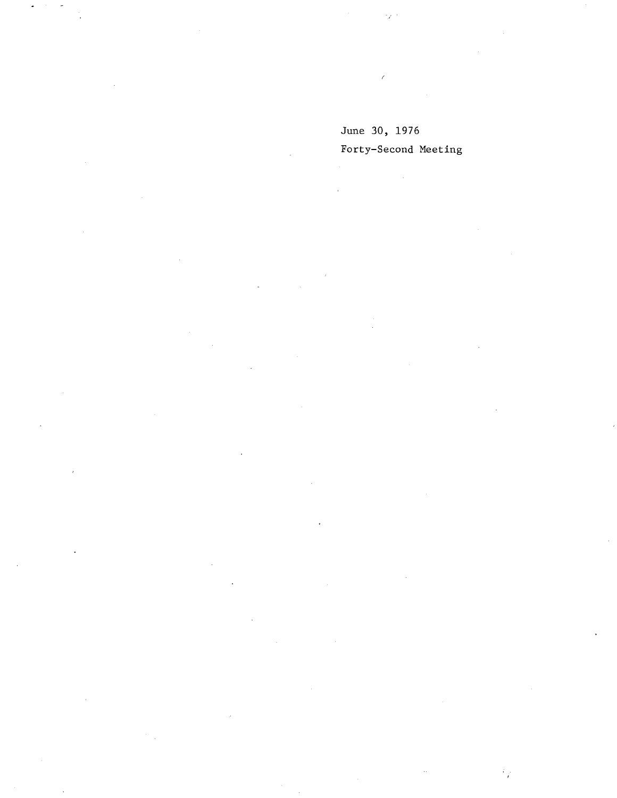### June 30, 1976 Forty-Second Meeting

 $\hat{\mathcal{L}}$ 

# $\mathcal{L}$  $\bar{\mathbf{r}}$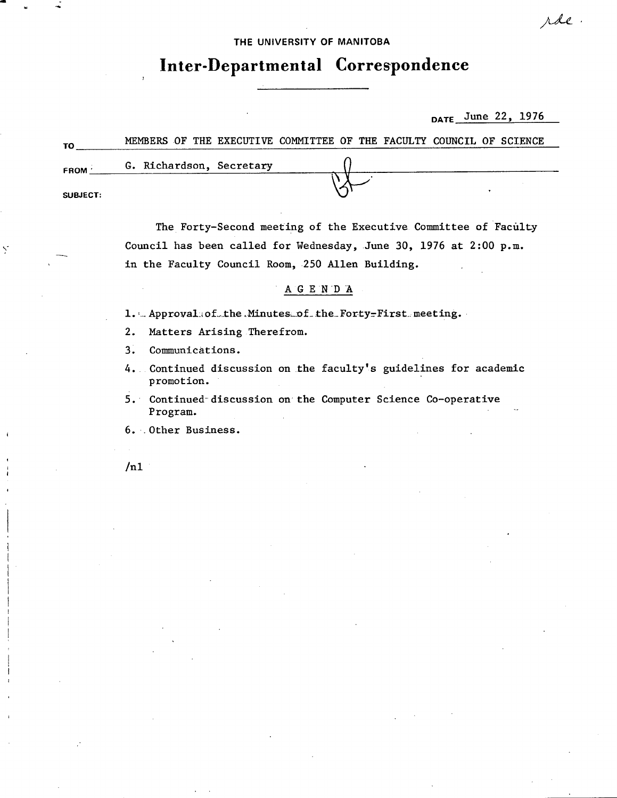THE UNIVERSITY OF MANITOBA

## **Inter-Departmental Correspondence**

**DATE** \_June 22, 1976

rde.

| TO          |                          |  | MEMBERS OF THE EXECUTIVE COMMITTEE OF THE FACULTY COUNCIL OF SCIENCE |  |  |  |  |
|-------------|--------------------------|--|----------------------------------------------------------------------|--|--|--|--|
| <b>FROM</b> | G. Richardson, Secretary |  |                                                                      |  |  |  |  |
| SUBJECT:    |                          |  |                                                                      |  |  |  |  |

The Forty-Second meeting of the Executive Committee of Faculty Council has been called for Wednesday, June 30, 1976 at 2:00 p.m. in the Faculty Council Room, 250 Allen Building.

#### AGENDA

1. Approvalsofthe Minutes of the Forty-First meeting.

 $2.$ Matters Arising Therefrom.

 $3.$ Communications.

4. Continued discussion on the faculty's guidelines for academic promotion.

5. Continued discussion on the Computer Science Co-operative Program.

6. Other Business.

 $/n1$ 

Ÿ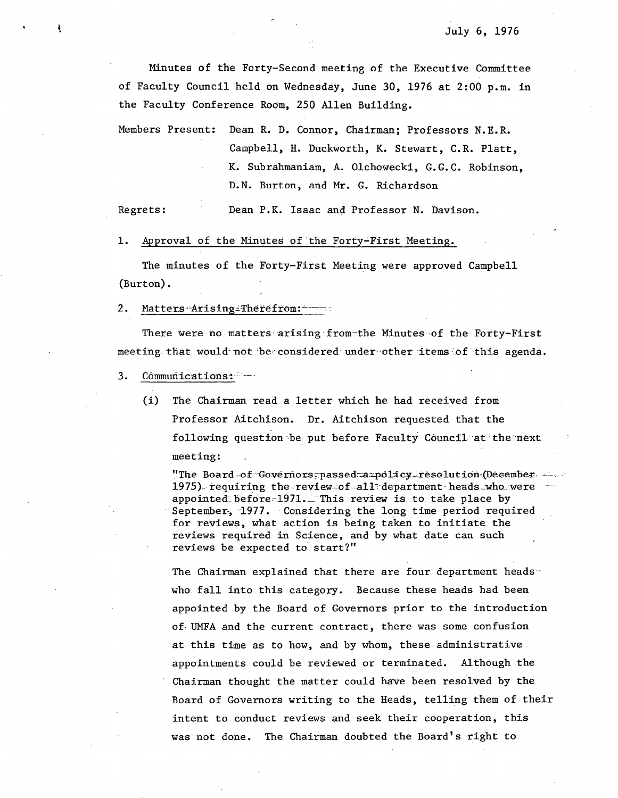Minutes of the Forty-Second meeting of the Executive Committee of Faculty Council held on Wednesday, June 30, 1976 at 2:00 p.m. in the Faculty Conference Room, 250 Allen Building.

Members Present: Dean R. D. Connor, Chairman; Professors N.E.R. Campbell, H. Duckworth, K. Stewart, C.R. Platt, K. Subrahmaniam, A. Olchowecki, G.G.C. Robinson, D.N. Burton, and Mr. G. Richardson

Regrets: Dean P.K. Isaac and Professor N. Davison.

1. Approval of the Minutes of the Forty-Fitst Meeting.

The minutes of the Forty-First Meeting were approved Campbell (Burton).

2. Matters Arising-Therefrom:

There were no matters arising from-the Minutes of the Forty-First meeting that would not be considered under other items of this agenda.

- $3.$ Cômmunications:
	- (i) The Chairman read a letter which he had received from Professor Aitchison. Dr. Aitchison requested that the following question be put before Faculty Council at the next meeting:

"The Board-of Governors passed= a=policy-resolution (December 1975) requiring the review-of-all department heads who were  $-\frac{1}{2}$ appointed before-1971. This review is to take place by September, 1977. Considering the long time period required for reviews, what action is being taken to initiate the reviews required in Science, and by what date can such reviews be expected to start?"

The Chairman explained that there are four department heads who fall into this category. Because these heads had been appointed by the Board of Governors prior to the introduction of UMFA and the current contract, there was some confusion at this time as to how, and by whom, these administrative. appointments could be reviewed or terminated. Although the Chairman thought the matter could have been resolved by the Board of Governors writing to the Heads, telling them of their intent to conduct reviews and seek their cooperation, this was not done. The Chairman doubted the Board's right to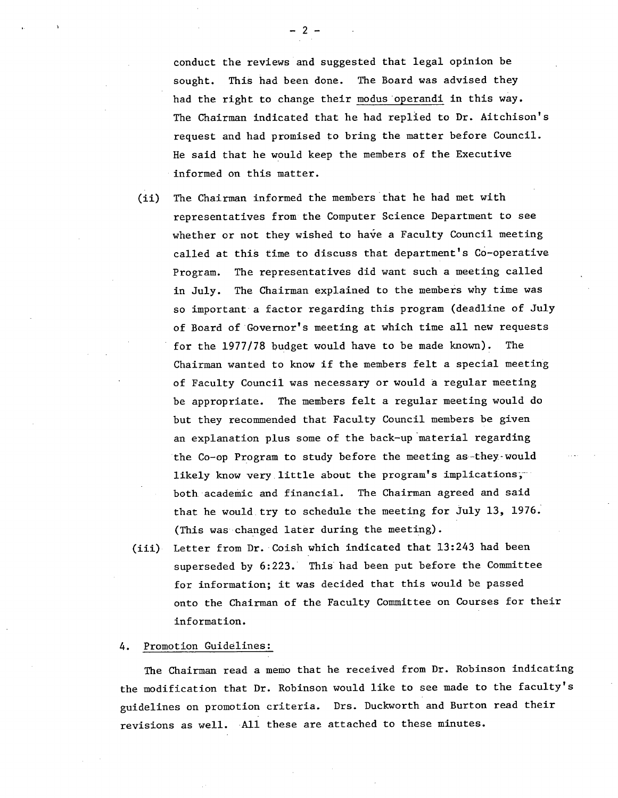conduct the reviews and suggested that legal opinion be sought. This had been done. The Board was advised they had the right to change their modus 'operandi in this way. The Chairman indicated that he had replied to Dr. Aitchison's request and had promised to bring the matter before Council. He said that he would keep the members of the Executive informed on this matter.

- $(ii)$ The Chairman informed the members that he had met with representatives from the Computer Science Department to see whether or not they wished to have a Faculty Council meeting called at this time to discuss that department's Co-operative Program. The representatives did want such a meeting called in July. The Chairman explained to the members why time was so important a factor regarding this program (deadline of July of Board of Governor's meeting at which time all new requests for the 1977/78 budget would have to be made known). The Chairman wanted to know if the members felt a special meeting of Faculty Council was necessary or would a regular meeting be appropriate. The members felt a regular meeting would do but they recommended that Faculty Council members be given an explanation plus some of the back-up material regarding the Co-op Program to study before the meeting as-they-would likely know very little about the program's implications, both academic and financial. The Chairman agreed and said that he would, try to schedule the meeting for July 13, 1976. (This was changed later during the meeting).
- Letter from Dr. Coish which indicated that 13:243 had been  $(iii)$ superseded by 6:223. This had been put before the Committee for information; it was decided that this would be passed onto the Chairman of the Faculty Committee on Courses for their information.

#### 4. Promotion Guidelines:

The Chairman read a memo that he received from Dr. Robinson indicating the modification that Dr. Robinson would like to see made to the faculty's guidelines on promotion criteria. Drs. Duckworth and Burton read their revisions as well. All these are attached to these minutes.

-2-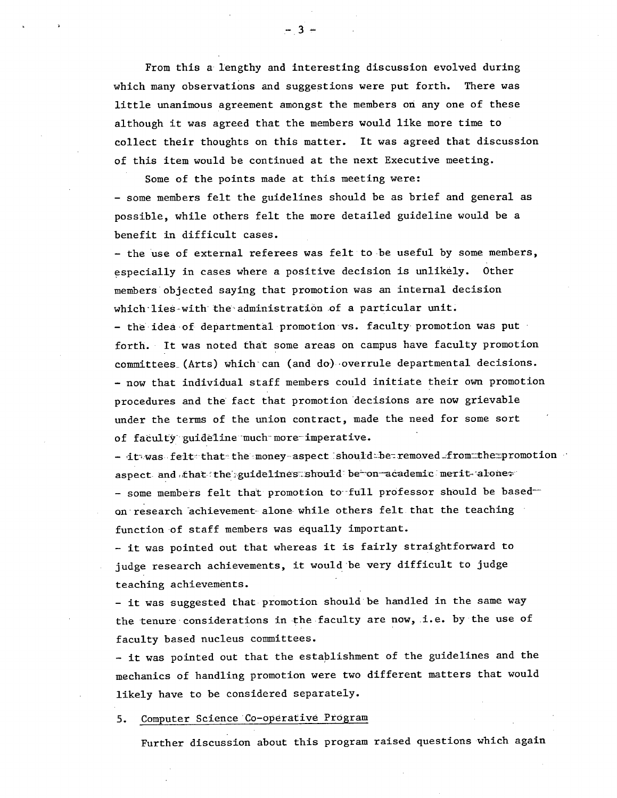From this a lengthy and interesting discussion evolved during which many observations and suggestions were put forth. There was little unanimous agreement amongst the members on any one of these although it was agreed that the members would like more time to collect their thoughts on this matter. It was agreed that discussion of this item would be continued at the next Executive meeting.

Some of the points made at this meeting were: - some members felt the guidelines should be as brief and general as possible, while others felt the more detailed guideline would be a benefit in difficult cases.

- the use of external referees was felt to be useful by some members, especially in cases where a positive decision is unlikely. Other members objected saying that promotion was an internal decision which lies-with the administration of a particular unit.

- the idea of departmental promotion vs. faculty promotion was put forth. It was noted that some areas on campus have faculty promotion committees (Arts) which- can (and do)-overrule departmental decisions. - now that individual staff members could initiate their own promotion procedures and the fact that promotion decisions are now grievable under the terms of the union contract, made the need for some sort of faculty guideline much more-imperative.

 $-$  it was felt that the money-aspect should be removed from the promotion aspect- and that-the guidelines should be on academic merit-alone. - some members felt that promotion to full professor should be based on research achievement alone while others felt that the teaching function of staff members was equally important.

- it was pointed out that whereas it is fairly straightforward to judge research achievements, it would be very difficult to judge teaching achievements.

- it was suggested that promotion should be handled in the same way the tenure considerations in the faculty are now, i.e. by the use of faculty based nucleus committees.

- it was pointed out that the establishment of the guidelines and the mechanics of handling promotion were two different matters that would likely have to be considered separately.

5. Computer Science Co-operative Program

Further discussion about this program raised questions which again

 $- 3 -$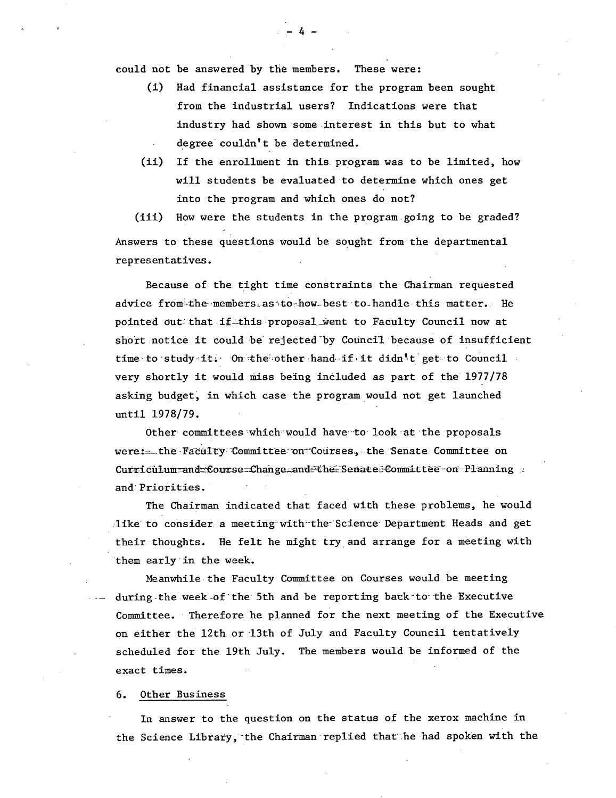could not be answered by the members. These were:

(1) Had financial assistance for the program been sought from the industrial users? Indications were that industry had shown some interest in this but to what degree couldn't be determined.

 $-4 -$ 

(ii) If the enrollment in this program was to be limited, how will students be evaluated to determine which ones get into the program and which ones do not?

(iii) How were the students in the program going to be graded? Answers to these questions would be sought from the departmental representatives.

Because of the tight time constraints the Chairman requested advice from the members as to how best to handle this matter. He pointed out that if this proposal went to Faculty Council now at short notice it could be' rejected'by Council because of insufficient time to study-it. On the other hand if it didn't get to Council very shortly it would miss being inóluded as part of the 1977/78 asking budget, in which case the program would not get launched until 1978/79.

Other committees which would have to look at the proposals were: \_\_the Faculty Committee on Courses, the Senate Committee on Curriculum and Course Change and the Senate Committee on Planning and' Priorities.

The Chairman indicated that faced with these problems, he would like to consider a meeting with-the-Science Department Heads and get their thoughts. He felt he might try and arrange for a meeting with them early'in the week.

Meanwhile the Faculty Committee on Courses would be meeting during the week of the 5th and be reporting back to the Executive Committee. Therefore he planned for the next meeting of the Executive on either the 12th or 13th of July and Faculty Council tentatively scheduled for the 19th July. The members would be informed of the exact times.

#### 6. Other Business

In answer to the question on the status of the xerox machine in the Science Library, the Chairman replied that he had spoken with the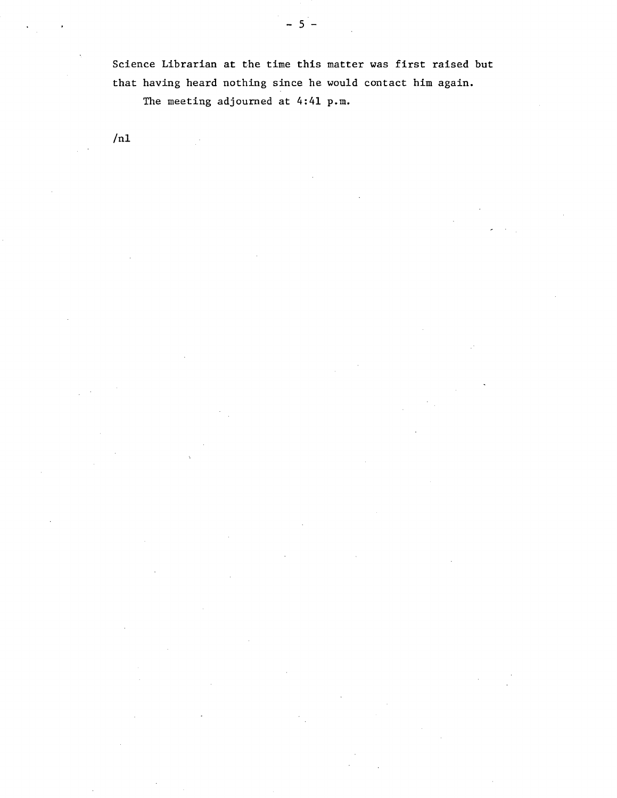Science Librarian at the time this matter was first raised but that having heard nothing since he would contact him again. The meeting adjourned at 4:41 p.m.

 $/n1$ 

 $-5$  -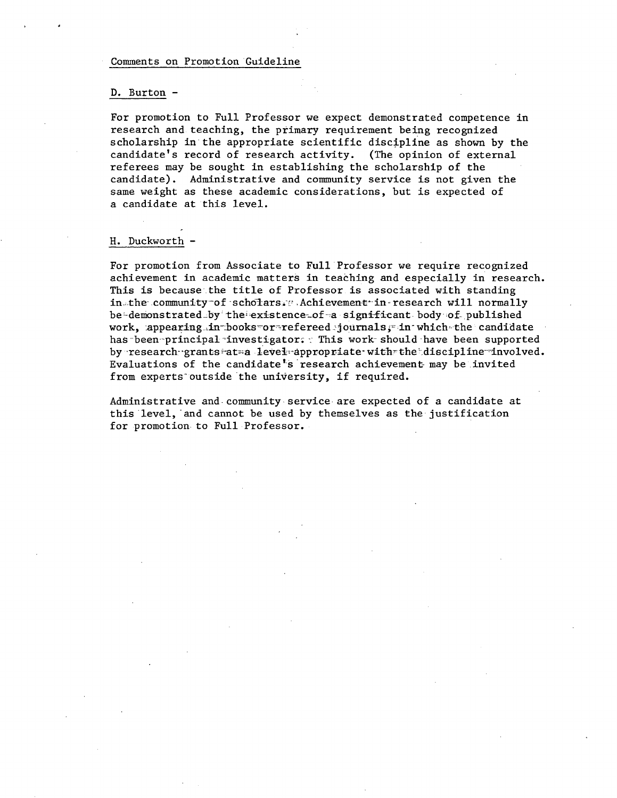#### Comments on Promotion Guideline

#### D. Burton -

For promotion to Full Professor we expect demonstrated competence in research and teaching, the primary requirement being recognized scholarship in the appropriate scientific discipline as shown by the candidate's record of research activity. (The opinion of external referees may be sought in establishing the scholarship of the candidate). Administrative and community service is not given the same weight as these academic considerations, but is expected of a candidate at this level.

#### H. Duckworth -

For promotion from Associate to Full Professor we require recognized achievement in academic matters in teaching and especially in research. This is because'.the title of Professor is associated with standing in the community of scholars. Achievement in-research will normally be-demonstrated by the existence of a significant body of published work, appearing in books or refereed journals, in which the candidate has been-principal investigator. This work-should have been supported by research-grants-at-a level appropriate with the discipline involved. Evaluations of the candidate's research achievement- may be invited from experts outside the university, if required.

Administrative and community service are expected of a candidate at this level, and cannot be used by themselves as the justification for promotion to Full Professor.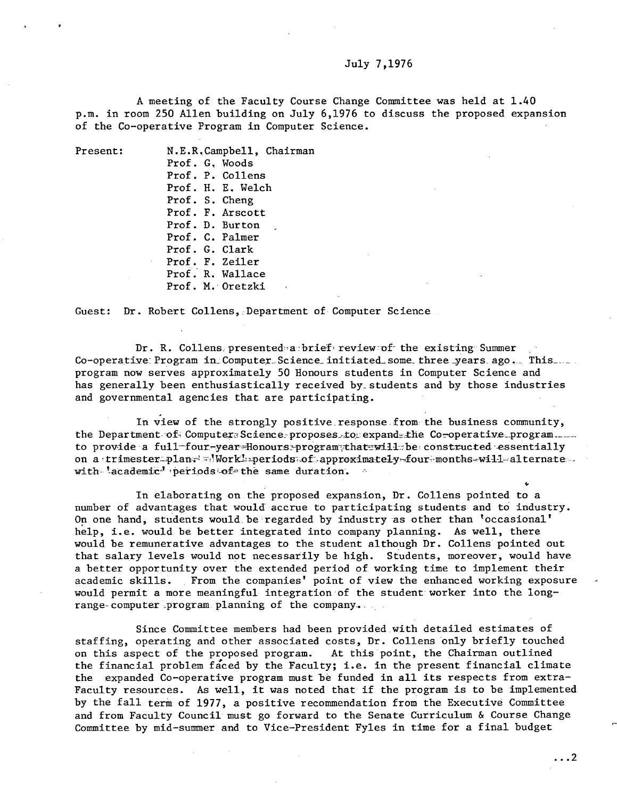#### July 7,1976

A meeting of the Faculty Course Change Committee was held at 1.40 p.m. in room 250 Allen building on July 6,1976 to discuss the proposed expansion of the Co-operative Program in Computer Science.

Present: N.E.R.Campbell, Chairman Prof. G. Woods Prof. P. Collens Prof. H. E. Welch Prof. S. Cheng Prof. F. Arscott Prof. D. Burton Prof. C. Palmer Prof. G. Clark Prof. F. Zeiler Prof. R. Wallace Prof. M. Oretzki

Guest: Dr. Robert Collens. Department of Computer Science

Dr. R. Collens presented a brief review of the existing Summer Co-operative Program in Computer Science initiated some three years ago . This.... program now serves approximately 50 Honours students in Computer Science and has generally been enthusiastically received by-students and by those industries and governmental agencies that are participating.

In view of the strongly positive response from the business community, the Department-of- Computer Science: proposes to expande the Co-operative program....... to provide a full four-year Honours program that will be constructed essentially on a trimester plan- work periods of approximately-four-months-will-alternate. with- 'academic' periods of-the same duration.

In elaborating on the proposed expansion, Dr. Collens pointed to a number of advantages that would accrue to participating students and to industry. On one hand, students would be regarded by industry as other than 'occasional' help, i.e. would be better integrated into company planning. As well, there would be remunerative advantages to the student although Dr. Collens pointed out that salary levels would not necessarily be high. Students, moreover, would have a better opportunity over the extended period of working time to implement their academic skills. From the companies' point of view the enhanced working exposure would permit a more meaningful integration of the student worker into the longrange-computer program planning of the company.

Since Committee members had been provided .with detailed estimates of staffing, operating and other associated costs, Dr. Collens only briefly touched on this aspect of the proposed program. At this point, the Chairman outlined the financial problem faced by the Faculty; i.e. in the present financial climate the expanded Co-operative program must be funded in all its respects from extra-Faculty resources. As well, it was noted that if the program is to be implemented by the fall term of 1977, a positive recommendation from the Executive Committee and from Faculty Council must go forward to the Senate Curriculum & Course Change Committee by mid-summer and to Vice-President Fyles in time for a final budget

4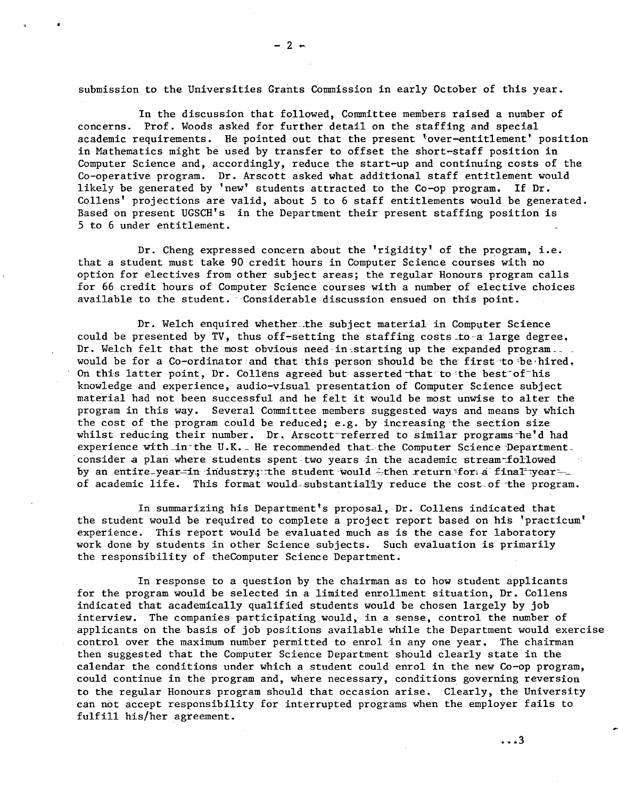submission to the Universities Grants Commission in early October of this year.

In the discussion that followed, Committee members raised a number of concerns. Prof. Woods asked for further detail on the staffing and special academic requirements. He pointed out that the present 'over-entitlement' position in Mathematics might be used by transfer to offset the short-staff position in Computer Science and, accordingly, reduce the start-up and continuing costs of the Co-operative program. Dr. Arscott asked what additional staff entitlement would likely be generated by 'new' students attracted to the Co-op program. If Dr. Collens' projections are valid, about 5 to 6 staff entitlements would be generated. Based on present UGSCH's in the Department their present staffing position is 5 to 6 under entitlement.

Dr. Cheng expressed concern about the 'rigidity' of the program, i.e. that a student must take 90 credit hours in Computer Science courses with no option for electives from other subject areas; the regular Honours program calls for 66 credit hours of Computer Science courses with a number of elective choices available to the student. Considerable discussion ensued on this point.

Dr. Welch enquired whether.the subject material in Computer Science could be presented by TV, thus off-setting the staffing costs to a large degree. Dr. Welch felt that the most obvious need in starting up the expanded program. would be for a Co-ordinator and that this person should be the first to be hired. On this latter point, Dr. Collens agreed but asserted that to the best of his knowledge and experience, audio-visual presentation of Computer Science subject material had not been successful and he felt it would be most unwise to alter the program in this way. Several Committee members suggested ways and means by which the cost of the program could be reduced; e.g. by increasing the section size whilst reducing their number. Dr. Arscott-referred to similar programs-he'd had experience with in the U.K. He recommended that the Computer Science Department. consider a plan where students spent two years in the academic stream followed by an entire-year-in industry; the student would -then return for a finaFyearof academic life. This format would-substantially reduce the cost of the program.

In summarizing his Department's proposal, Dr. Collens indicated that the student would be required to complete a project report based on his 'practicum' experience. This report would be evaluated much as is the case for laboratory work done by students in other Science subjects. Such evaluation is primarily the responsibility of theComputer Science Department.

In response to a question by the chairman as to how student applicants for the program would be selected in a limited enrollment situation, Dr. Collens indicated that academically qualified students would be chosen largely by job interview. The companies participating would, in a sense, control the number of applicants on the basis of job positions available while the Department would exercise control over the maximum number permitted to enrol in any one year. The chairman then suggested that the Computer Science Department should clearly state in the calendar the conditions under which a student could enrol in the new Co-op program, could continue in the program and, where necessary, conditions governing reversion to the regular Honours program should that occasion arise. Clearly, the University can not accept responsibility for interrupted programs when the employer fails to fulfill his/her agreement.

 $-2 +$ 

**It** 

...3